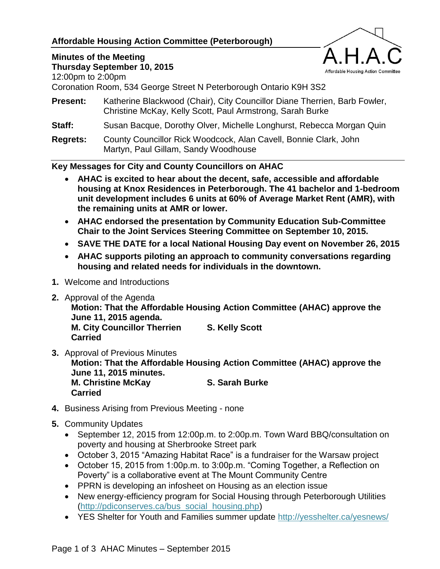# **Affordable Housing Action Committee (Peterborough)**

#### **Minutes of the Meeting Thursday September 10, 2015**



12:00pm to 2:00pm

Coronation Room, 534 George Street N Peterborough Ontario K9H 3S2

- **Present:** Katherine Blackwood (Chair), City Councillor Diane Therrien, Barb Fowler, Christine McKay, Kelly Scott, Paul Armstrong, Sarah Burke
- **Staff:** Susan Bacque, Dorothy Olver, Michelle Longhurst, Rebecca Morgan Quin
- **Regrets:** County Councillor Rick Woodcock, Alan Cavell, Bonnie Clark, John Martyn, Paul Gillam, Sandy Woodhouse

## **Key Messages for City and County Councillors on AHAC**

- **AHAC is excited to hear about the decent, safe, accessible and affordable housing at Knox Residences in Peterborough. The 41 bachelor and 1-bedroom unit development includes 6 units at 60% of Average Market Rent (AMR), with the remaining units at AMR or lower.**
- **AHAC endorsed the presentation by Community Education Sub-Committee Chair to the Joint Services Steering Committee on September 10, 2015.**
- **SAVE THE DATE for a local National Housing Day event on November 26, 2015**
- **AHAC supports piloting an approach to community conversations regarding housing and related needs for individuals in the downtown.**
- **1.** Welcome and Introductions
- **2.** Approval of the Agenda
	- **Motion: That the Affordable Housing Action Committee (AHAC) approve the June 11, 2015 agenda. M. City Councillor Therrien S. Kelly Scott Carried**
- **3.** Approval of Previous Minutes **Motion: That the Affordable Housing Action Committee (AHAC) approve the June 11, 2015 minutes. M. Christine McKay S. Sarah Burke Carried**
- **4.** Business Arising from Previous Meeting none
- **5.** Community Updates
	- September 12, 2015 from 12:00p.m. to 2:00p.m. Town Ward BBQ/consultation on poverty and housing at Sherbrooke Street park
	- October 3, 2015 "Amazing Habitat Race" is a fundraiser for the Warsaw project
	- October 15, 2015 from 1:00p.m. to 3:00p.m. "Coming Together, a Reflection on Poverty" is a collaborative event at The Mount Community Centre
	- PPRN is developing an infosheet on Housing as an election issue
	- New energy-efficiency program for Social Housing through Peterborough Utilities [\(http://pdiconserves.ca/bus\\_social\\_housing.php\)](http://pdiconserves.ca/bus_social_housing.php)
	- YES Shelter for Youth and Families summer update<http://yesshelter.ca/yesnews/>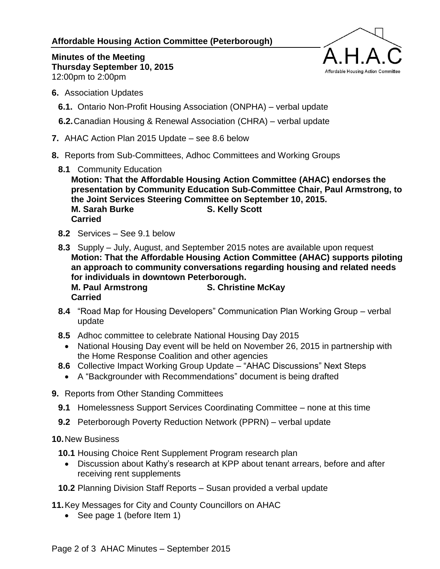**Affordable Housing Action Committee (Peterborough)**



**Minutes of the Meeting Thursday September 10, 2015** 12:00pm to 2:00pm

- **6.** Association Updates
	- **6.1.** Ontario Non-Profit Housing Association (ONPHA) verbal update
	- **6.2.**Canadian Housing & Renewal Association (CHRA) verbal update
- **7.** AHAC Action Plan 2015 Update see 8.6 below
- **8.** Reports from Sub-Committees, Adhoc Committees and Working Groups
	- **8.1** Community Education

**Motion: That the Affordable Housing Action Committee (AHAC) endorses the presentation by Community Education Sub-Committee Chair, Paul Armstrong, to the Joint Services Steering Committee on September 10, 2015. M. Sarah Burke S. Kelly Scott Carried**

- **8.2** Services See 9.1 below
- **8.3** Supply July, August, and September 2015 notes are available upon request **Motion: That the Affordable Housing Action Committee (AHAC) supports piloting an approach to community conversations regarding housing and related needs for individuals in downtown Peterborough. M. Paul Armstrong S. Christine McKay Carried**
- **8.4** "Road Map for Housing Developers" Communication Plan Working Group verbal update
- **8.5** Adhoc committee to celebrate National Housing Day 2015
	- National Housing Day event will be held on November 26, 2015 in partnership with the Home Response Coalition and other agencies
- **8.6** Collective Impact Working Group Update "AHAC Discussions" Next Steps
- A "Backgrounder with Recommendations" document is being drafted
- **9.** Reports from Other Standing Committees
	- **9.1** Homelessness Support Services Coordinating Committee none at this time
	- **9.2** Peterborough Poverty Reduction Network (PPRN) verbal update

## **10.**New Business

- **10.1** Housing Choice Rent Supplement Program research plan
	- Discussion about Kathy's research at KPP about tenant arrears, before and after receiving rent supplements
- **10.2** Planning Division Staff Reports Susan provided a verbal update

**11.**Key Messages for City and County Councillors on AHAC

• See page 1 (before Item 1)